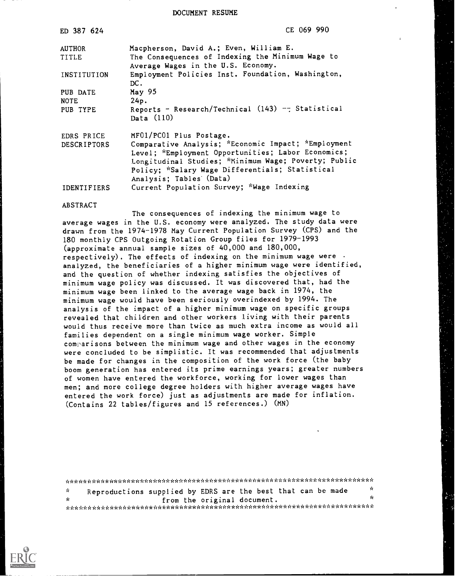DOCUMENT RESUME

| ED 387 624    | CE 069 990                                                                                                                                                                                                                                      |
|---------------|-------------------------------------------------------------------------------------------------------------------------------------------------------------------------------------------------------------------------------------------------|
| <b>AUTHOR</b> | Macpherson, David A.; Even, William E.                                                                                                                                                                                                          |
| TITLE         | The Consequences of Indexing the Minimum Wage to<br>Average Wages in the U.S. Economy.                                                                                                                                                          |
| INSTITUTION   | Employment Policies Inst. Foundation, Washington,<br>DC.                                                                                                                                                                                        |
| PUB DATE      | May 95                                                                                                                                                                                                                                          |
| <b>NOTE</b>   | 24p.                                                                                                                                                                                                                                            |
| PUB TYPE      | Reports - Research/Technical (143) -- Statistical<br>Data (110)                                                                                                                                                                                 |
| EDRS PRICE    | MF01/PC01 Plus Postage.                                                                                                                                                                                                                         |
| DESCRIPTORS   | Comparative Analysis; *Economic Impact; *Employment<br>Level; *Employment Opportunities; Labor Economics;<br>Longitudinal Studies; *Minimum Wage; Poverty; Public<br>Policy; *Salary Wage Differentials; Statistical<br>Analysis; Tables (Data) |
| IDENTIFIERS   | Current Population Survey; *Wage Indexing                                                                                                                                                                                                       |
| ABSTRACT      |                                                                                                                                                                                                                                                 |

The consequences of indexing the minimum wage to average wages in the U,S. economy were analyzed. The study data were drawn from the 1974-1978 May Current Population Survey (CPS) and the 180 monthly CPS Outgoing Rotation Group files for 1979-1993 (approximate annual sample sizes of 40,000 and 180,000, respectively). The effects of indexing on the minimum wage were . analyzed, the beneficiaries of a higher minimum wage were identified, and the question of whether indexing satisfies the objectives of minimum wage policy was discussed. It was discovered that, had the minimum wage been linked to the average wage back in 1974, the minimum wage would have been seriously overindexed by 1994. The analysis of the impact of a higher minimum wage on specific groups revealed that children and other workers living with their parents would thus receive more than twice as much extra income as would all families dependent on a single minimum wage worker. Simple comparisons between the minimum wage and other wages in the economy were concluded to be simplistic. It was recommended that adjustments be made for changes in the composition of the work force (the baby boom generation has entered its prime earnings years; greater numbers of women have entered the workforce, working for lower wages than men; and more college degree holders with higher average wages have entered the work force) just as adjustments are made for inflation. (Contains 22 tables/figures and 15 references.) (MN)

\*\*\*\*\*\*\*\*\*\*\*\*\*\*\*\*\*\*\*\*\*\*\*\*\*\*\*\*\*\*\*\*\*\*\*\*\*\*\*\*\*\*\*\*\*\*\*\*\*\*\*\*\*\*\*\*\*\*\*\*\*\*\*\*\*\*\*\*\*\*\* \* Reproductions supplied by EDRS are the best that can be made  $*$ \* from the original document. \*\*\*\*\*\*\*\*\*\*\*\*\*\*\*\*\*\*\*\*\*\*\*\*\*\*\*\*\*\*\*\*\*\*\*\*\*\*\*\*\*\*\*\*\*\*\*\*\*\*\*\*\*\*\*\*\*\*\*\*\*\*\*\*\*\*\*\*\*\*\*

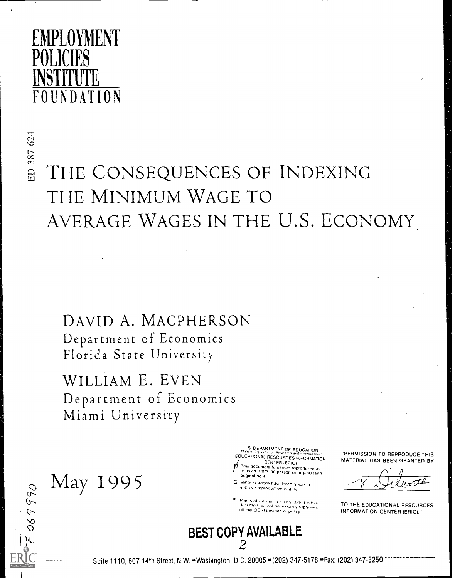

ED 387 624

# THE CONSEQUENCES OF INDEXING THE MINIMUM WAGE TO AVERAGE WAGES IN THE U.S. ECONOMY

DAVID A. MACPHERSON Department of Economics Florida State University

WILLIAM E. EVEN Department of Economics Miami University

> U S. DEPARTMENT OF EDUCATION EDUCATIONAL RESOURCES INFORMATION CENTER (ERIC)<br>This gocument has been reproduced as<br>received from the person or organization

- ortginafing II D. Minor changes have been made to
- Improve replodUrt.en Quably

2

Points of yaw of or our stated in the<br>document do not ne, essarily represent<br>official OERI position or policy

'PERMISSION TO REPRODUCE THIS MATERIAL HAS BEEN GRANTED BY

TO THE EDUCATIONAL RESOURCES INFORMATION CENTER (ERIC)."



069990

Suite 1110, 607 14th Street, N.W. - Washington, D.C. 20005 - (202) 347-5178 - Fax: (202) 347-5250

BEST COPY AVAILABLE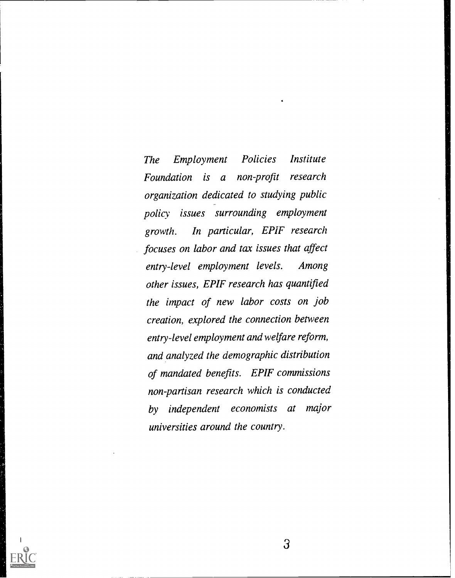The Employment Policies Institute Foundation is a non-profit research organization dedicated to studying public policy issues surrounding employment growth. In particular, EPIF research focuses on labor and tax issues that affect entry-level employment levels. Among other issues, EPIF research has quantified the impact of new labor costs on job creation, explored the connection between entry-level employment and welfare reform, and analyzed the demographic distribution of mandated benefits. EPIF commissions non-partisan research which is conducted by independent economists at major universities around the country.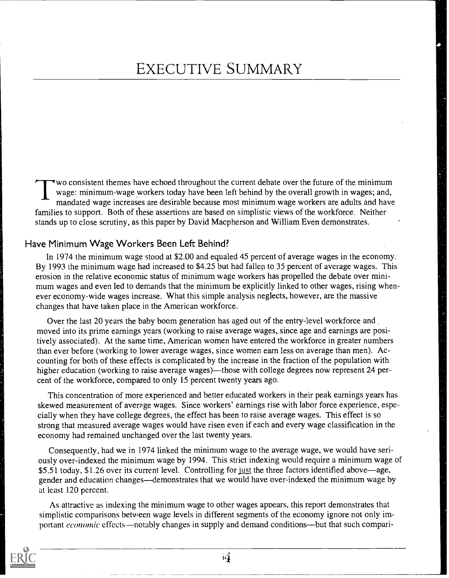Two consistent themes have echoed throughout the current debate over the future of the minimum wage: minimum-wage workers today have been left behind by the overall growth in wages; and, mandated wage increases are desirable because most minimum wage workers are adults and have families to support. Both of these assertions are based on simplistic views of the workforce. Neither stands up to close scrutiny, as this paper by David Macpherson and William Even demonstrates.

### Have Minimum Wage Workers Been Left Behind?

In 1974 the minimum wage stood at \$2.00 and equaled 45 percent of average wages in the economy. By 1993 the minimum wage had increased to \$4.25 but had fallen to 35 percent of average wages. This erosion in the relative economic status of minimum wage workers has propelled the debate over minimum wages and even led to demands that the minimum be explicitly linked to other wages, rising whenever economy-wide wages increase. What this simple analysis neglects, however, are the massive changes that have taken place in the American workforce.

Over the last 20 years the baby boom generation has aged out of the entry-level workforce and moved into its prime earnings years (working to raise average wages, since age and earnings are positively associated). At the same time, American women have entered the workforce in greater numbers than ever before (working to lower average wages, since women earn less on average than men). Accounting for both of these effects is complicated by the increase in the fraction of the population with higher education (working to raise average wages)—those with college degrees now represent 24 percent of the workforce, compared to only 15 percent twenty years ago.

This concentration of more experienced and better educated workers in their peak earnings years has skewed measurement of average wages. Since workers' earnings rise with labor force experience, especially when they have college degrees, the effect has been to raise average wages. This effect is so strong that measured average wages would have risen even if each and every wage classification in the economy had remained unchanged over the last twenty years.

Consequently, had we in 1974 linked the minimum wage to the average wage, we would have seriously over-indexed the minimum wage by 1994. This strict indexing would require a minimum wage of \$5.51 today, \$1.26 over its current level. Controlling for just the three factors identified above—age, gender and education changes—demonstrates that we would have over-indexed the minimum wage by at least 120 percent.

As attractive as indexing the minimum wage to other wages appears, this report demonstrates that simplistic comparisons between wage levels in different segments of the economy ignore not only important *economic* effects—notably changes in supply and demand conditions—but that such compari-

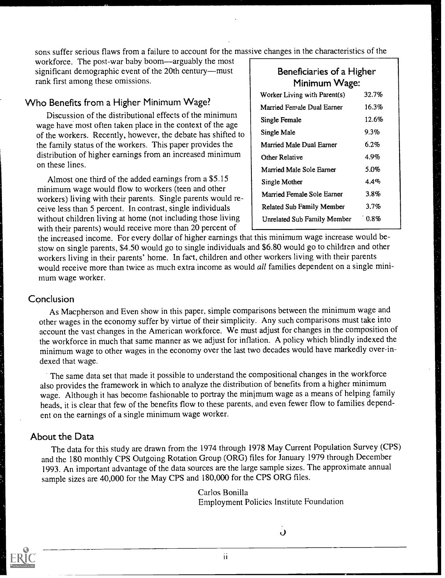sons suffer serious flaws from a failure to account for the massive changes in the characteristics of the

workforce. The post-war baby boom—arguably the most significant demographic event of the 20th century-must rank first among these omissions.

### Who Benefits from a Higher Minimum Wage?

Discussion of the distributional effects of the minimum wage have most often taken place in the context of the age of the workers. Recently, however, the debate has shifted to the family status of the workers. This paper provides the distribution of higher earnings from an increased minimum on these lines.

Almost one third of the added earnings from a \$5.15 minimum wage would flow to workers (teen and other workers) living with their parents. Single parents would receive less than 5 percent. In contrast, single individuals without children living at home (not including those living with their parents) would receive more than 20 percent of

### Beneficiaries of a Higher Minimum Wage:

| Worker Living with Parent(s) | 32.7%   |  |
|------------------------------|---------|--|
| Married Female Dual Earner   | 16.3%   |  |
| Single Female                | 12.6%   |  |
| Single Male                  | 9.3%    |  |
| Married Male Dual Earner     | $6.2\%$ |  |
| Other Relative               | 4.9%    |  |
| Married Male Sole Earner     | 5.0%    |  |
| Single Mother                | 4.4%    |  |
| Married Female Sole Earner   | 3.8%    |  |
| Related Sub Family Member    | 3.7%    |  |
| Unrelated Sub Family Member  | 0.8%    |  |

the increased income. For every dollar of higher earnings that this minimum wage increase would bestow on single parents, \$4.50 would go to single individuals and \$6.80 would go to children and other workers living in their parents' home. In fact, children and other workers living with their parents would receive more than twice as much extra income as would *all* families dependent on a single minimum wage worker.

#### Conclusion

As Macpherson and Even show in this paper, simple comparisons between the minimum wage and other wages in the economy suffer by virtue of their simplicity. Any such comparisons must take into account the vast changes in the American workforce. We must adjust for changes in the composition of the workforce in much that same manner as we adjust for inflation. A policy which blindly indexed the minimum wage to other wages in the economy over the last two decades would have markedly over-indexed that wage.

The same data set that made it possible to understand the compositional changes in the workforce also provides the framework in which to analyze the distribution of benefits from a higher minimum wage. Although it has become fashionable to portray the minimum wage as a means of helping family heads, it is clear that few of the benefits flow to these parents, and even fewer flow to families dependent on the earnings of a single minimum wage worker.

#### About the Data

The data for this study are drawn from the <sup>1974</sup> through <sup>1978</sup> May Current Population Survey (CPS) and the 180 monthly CPS Outgoing Rotation Group (ORG) files for January 1979 through December 1993. An important advantage of the data sources are the large sample sizes. The approximate annual sample sizes are 40,000 for the May CPS and 180,000 for the CPS ORG files.

> Carlos Bonilla Employment Policies Institute Foundation

> > $\ddot{\mathbf{d}}$



ii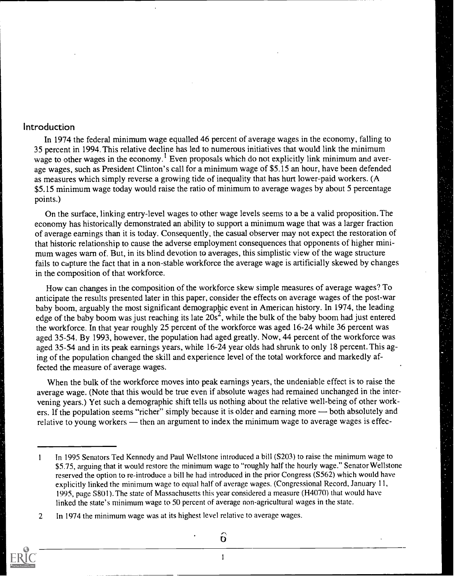#### Introduction

In 1974 the federal minimum wage equalled 46 percent of average wages in the economy, falling to 35 percent in 1994. This relative decline has led to numerous initiatives that would link the minimum wage to other wages in the economy.<sup>1</sup> Even proposals which do not explicitly link minimum and average wages, such as President Clinton's call for a minimum wage of \$5.15 an hour, have been defended as measures which simply reverse a growing tide of inequality that has hurt lower-paid workers. (A \$5.15 minimum wage today would raise the ratio of minimum to average wages by about 5 percentage points.)

On the surface, linking entry-level wages to other wage levels seems to a be a valid proposition. The economy has historically demonstrated an ability to support a minimum wage that was a larger fraction of average earnings than it is today. Consequently, the casual observer may not expect the restoration of that historic relationship to cause the adverse employment consequences that opponents of higher minimum wages warn of. But, in its blind devotion to averages, this simplistic view of the wage structure fails to capture the fact that in a non-stable workforce the average wage is artificially skewed by changes in the composition of that workforce.

How can changes in the composition of the workforce skew simple measures of average wages? To anticipate the results presented later in this paper, consider the effects on average wages of the post-war baby boom, arguably the most significant demographic event in American history. In 1974, the leading edge of the baby boom was just reaching its late  $20s^2$ , while the bulk of the baby boom had just entered the workforce. In that year roughly 25 percent of the workforce was aged 16-24 while 36 percent was aged 35-54. By 1993, however, the population had aged greatly. Now, 44 percent of the workforce was aged 35-54 and in its peak earnings years, while 16-24 year olds had shrunk to only 18 percent. This aging of the population changed the skill and experience level of the total workforce and markedly affected the measure of average wages.

When the bulk of the workforce moves into peak earnings years, the undeniable effect is to raise the average wage. (Note that this would be true even if absolute wages had remained unchanged in the intervening years.) Yet such a demographic shift tells us nothing about the relative well-being of other workers. If the population seems "richer" simply because it is older and earning more — both absolutely and relative to young workers  $-$  then an argument to index the minimum wage to average wages is effec-

<sup>2</sup> In 1974 the minimum wage was at its highest level relative to average wages.



 $\hat{\mathbf{o}}$ 

 $\mathbf{1}$ 

<sup>1</sup> In 1995 Senators Ted Kennedy and Paul Wellstone introduced a bill (S203) to raise the minimum wage to \$5.75, arguing that it would restore the minimum wage to "roughly half the hourly wage." Senator Wellstone reserved the option to re-introduce a bill he had introduced in the prior Congress (S562) which would have explicitly linked the minimum wage to equal half of average wages. (Congressional Record, January 11, 1995, page S801). The state of Massachusetts this year considered a measure (H4070) that would have linked the state's minimum wage to 50 percent of average non-agricultural wages in the state.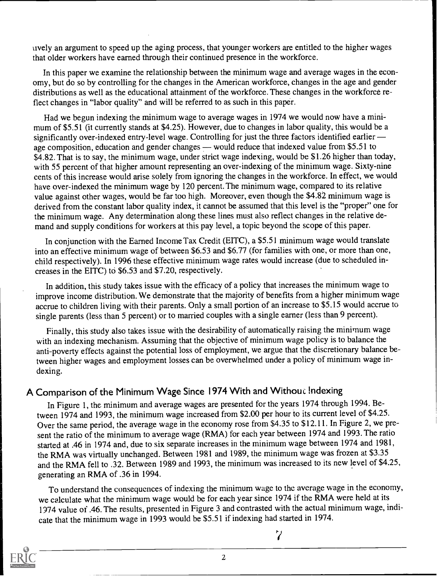uvely an argument to speed up the aging process, that younger workers are entitled to the higher wages that older workers have earned through their continued presence in the workforce.

In this paper we examine the relationship between the minimum wage and average wages in the economy, but do so by controlling for the changes in the American workforce, changes in the age and gender distributions as well as the educational attainment of the workforce. These changes in the workforce reflect changes in "labor quality" and will be referred to as such in this paper.

Had we begun indexing the minimum wage to average wages in 1974 we would now have a minimum of \$5.51 (it currently stands at \$4.25). However, due to changes in labor quality, this would be a significantly over-indexed entry-level wage. Controlling for just the three factors identified earlier  $$ age composition, education and gender changes — would reduce that indexed value from \$5.51 to \$4.82. That is to say, the minimum wage, under strict wage indexing, would be \$1.26 higher than today, with 55 percent of that higher amount representing an over-indexing of the minimum wage. Sixty-nine cents of this increase would arise solely from ignoring the changes in the workforce. In effect, we would have over-indexed the minimum wage by 120 percent. The minimum wage, compared to its relative value against other wages, would be far too high. Moreover, even though the \$4.82 minimum wage is derived from the constant labor quality index, it cannot be assumed that this level is the "proper" one for the minimum wage. Any determination along these lines must also reflect changes in the relative demand and supply conditions for workers at this pay level, a topic beyond the scope of this paper.

In conjunction with the Earned Income Tax Credit (EITC), a \$5.51 minimum wage would translate into an effective minimum wage of between \$6.53 and \$6.77 (for families with one, or more than one, child respectively). In 1996 these effective minimum wage rates would increase (due to scheduled increases in the EITC) to  $$6.53$  and  $$7.20$ , respectively.

In addition, this study takes issue with the efficacy of a policy that increases the minimum wage to improve income distribution. We demonstrate that the majority of benefits from a higher minimum wage accrue to children living with their parents. Only a small portion of an increase to \$5.15 would accrue to single parents (less than 5 percent) or to married couples with a single earner (less than 9 percent).

Finally, this study also takes issue with the desirability of automatically raising the minimum wage with an indexing mechanism. Assuming that the objective of minimum wage policy is to balance the anti-poverty effects against the potential loss of employment, we argue that the discretionary balance between higher wages and employment losses can be overwhelmed under a policy of minimum wage indexing.

### A Comparison of the Minimum Wage Since 1974 With and Without Indexing

In Figure 1, the minimum and average wages are presented for the years 1974 through 1994. Between 1974 and 1993, the minimum wage increased from \$2.00 per hour to its current level of \$4.25. Over the same period, the average wage in the economy rose from \$4.35 to \$12.11. In Figure 2, we present the ratio of the minimum to average wage (RMA) for each year between 1974 and 1993. The ratio started at .46 in 1974 and, due to six separate increases in the minimum wage between 1974 and 1981, the RMA was virtually unchanged. Between 1981 and 1989, the minimum wage was frozen at \$3.35 and the RMA fell to .32. Between 1989 and 1993, the minimum was increased to its new level of \$4.25, generating an RMA of .36 in 1994.

To understand the consequences of indexing the minimum wage to the average wage in the economy, we calculate what the minimum wage would be for each year since 1974 if the RMA were held at its 1974 value of .46. The results, presented in Figure 3 and contrasted with the actual minimum wage, indicate that the minimum wage in 1993 would be \$5.51 if indexing had started in 1974.



2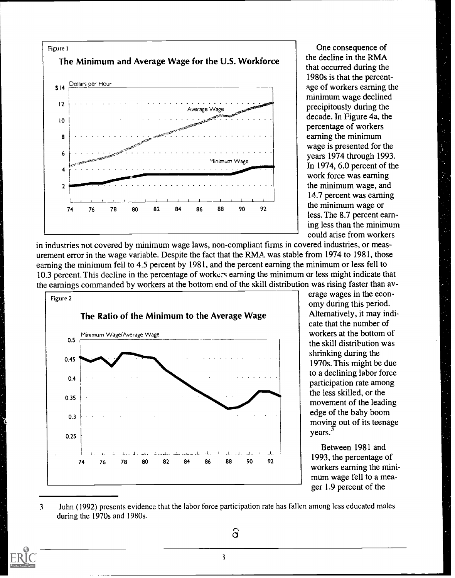

One consequence of the decline in the RMA that occurred during the 1980s is that the percentage of workers earning the minimum wage declined precipitously during the decade. In Figure 4a, the percentage of workers earning the minimum wage is presented for the years 1974 through 1993. In 1974, 6.0 percent of the work force was earning the minimum wage, and 14.7 percent was earning the minimum wage or less. The 8.7 percent earning less than the minimum could arise from workers

in industries not covered by minimum wage laws, non-compliant firms in covered industries, or measurement error in the wage variable. Despite the fact that the RMA was stable from 1974 to 1981, those earning the minimum fell to 4.5 percent by 1981, and the percent earning the minimum or less fell to 10.3 percent. This decline in the percentage of workers earning the minimum or less might indicate that the earnings commanded by workers at the bottom end of the skill distribution was rising faster than av-



erage wages in the economy during this period. Alternatively, it may indicate that the number of workers at the bottom of the skill distribution was shrinking during the 1970s. This might be due to a declining labor force participation rate among the less skilled, or the movement of the leading edge of the baby boom moving out of its teenage years.<sup>3</sup>

Between 1981 and 1993, the percentage of workers earning the minimum wage fell to a meager 1.9 percent of the

<sup>3</sup> Juhn (1992) presents evidence that the labor force participation rate has fallen among less educated males during the 1970s and 1980s.



 $\delta$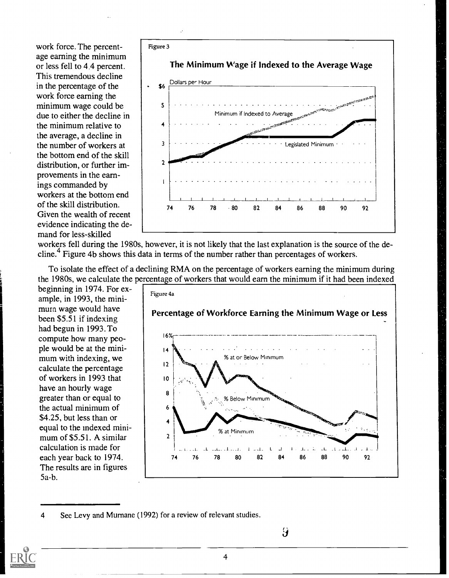work force. The percentage earning the minimum or less fell to 4,4 percent. This tremendous decline in the percentage of the work force earning the minimum wage could be due to either the decline in the minimum relative to the average, a decline in the number of workers at the bottom end of the skill distribution, or further improvements in the earnings commanded by workers at the bottom end of the skill distribution. Given the wealth of recent evidence indicating the demand for less-skilled



workers fell during the 1980s, however, it is not likely that the last explanation is the source of the decline.<sup>4</sup> Figure 4b shows this data in terms of the number rather than percentages of workers.

To isolate the effect of a declining RMA on the percentage of workers earning the minimum during the 1980s, we calculate the percentage of workers that would earn the minimum if it had been indexed<br>beginning in 1974. For ex-

beginning in  $1974$ . For ex-<br>ample, in 1993, the minimum wage would have been \$5.51 if indexing had begun in 1993. To compute how many people would be at the minimum with indexing, we calculate the percentage  $12$ of workers in 1993 that  $10$ have an hourly wage greater than or equal to the actual minimum of \$4.25, but less than or  $\begin{array}{|c|c|} \hline \end{array}$ equal to the indexed minimum of  $$5.51$ . A similar  $\frac{1}{2}$ calculation is made for The results are in figures 5a-b.



<sup>4</sup> See Levy and Murnane (1992) for a review of relevant studies.

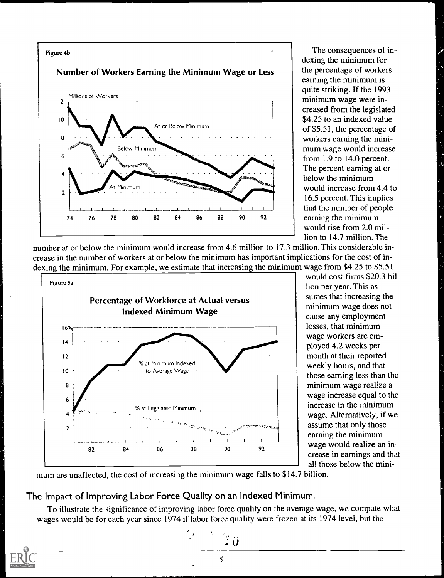

The consequences of indexing the minimum for the percentage of workers earning the minimum is quite striking. If the 1993 minimum wage were increased from the legislated \$4.25 to an indexed value of \$5.51, the percentage of workers earning the minimum wage would increase from 1.9 to 14.0 percent. The percent earning at or below the minimum would increase from 4.4 to 16.5 percent. This implies that the number of people earning the minimum would rise from 2.0 million to 14.7 million. The

number at or below the minimum would increase from 4.6 million to 17.3 million. This considerable increase in the number of workers at or below the minimum has important implications for the cost of indexing the minimum. For example, we estimate that increasing the minimum wage from \$4.25 to \$5.51



would cost firms \$20.3 billion per year. This assumes that increasing the minimum wage does not cause any employment losses, that minimum wage workers are employed 4.2 weeks per month at their reported weekly hours, and that those earning less than the minimum wage realize a wage increase equal to the increase in the minimum wage. Alternatively, if we assume that only those earning the minimum wage would realize an increase in earnings and that all those below the mini-

1111111111

mum are unaffected, the cost of increasing the minimum wage falls to \$14.7 billion.

The Impact of Improving Labor Force Quality on an Indexed Minimum.

To illustrate the significance of improving labor force quality on the average wage, we compute what wages would be for each year since 1974 if labor force quality were frozen at its 1974 level, but the



5

 $\stackrel{.}{\sim} 0$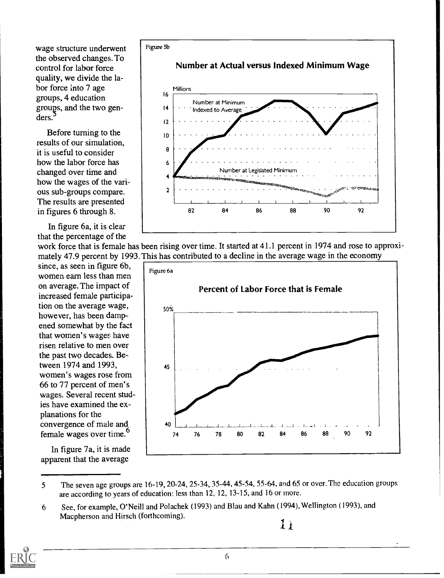wage structure underwent the observed changes. To control for labor force quality, we divide the labor force into 7 age groups, 4 education groups, and the two genders.'

Before turning to the results of our simulation, it is useful to consider how the labor force has  $\frac{1}{6}$ changed over time and how the wages of the various sub-groups compare.  $\vert$  2 The results are presented in figures 6 through 8.

In figure 6a, it is clear that the percentage of the

since, as seen in figure 6b,  $\sqrt{\frac{1}{\text{Figure 6a}}}$ women earn less than men on average. The impact of increased female participation on the average wage, however, has been dampened somewhat by the fact that women's wages have risen relative to men over the past two decades. Between 1974 and 1993, women's wages rose from 66 to 77 percent of men's wages. Several recent studies have examined the explanations for the convergence of male and female wages over time.°

In figure 7a, it is made apparent that the average



work force that is female has been rising over time. It started at 41.1 percent in 1974 and rose to approximately 47.9 percent by 1993. This has contributed to a decline in the average wage in the economy



- <sup>5</sup> The seven age groups are 16-19, 20-24, 25-34, 35-44, 45-54, 55-64, and 65 or over. The education groups are according to years of education: less than 12, 12, 13-15, and 16 or more.
- 6 See, for example, O'Neill and Polachek (1993) and Blau and Kahn (1994), Wellington (1993), and Macpherson and Hirsch (forthcoming).

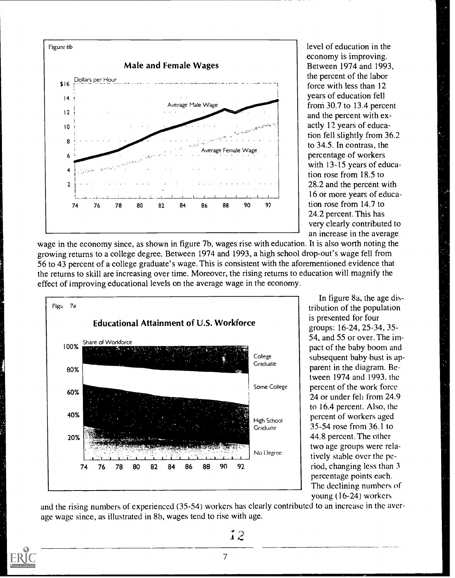

level of education in the economy is improving. Between 1974 and 1993, the percent of the labor from  $30.7$  to 13.4 percent tion fell slightly from 36.2 to 34.5. In contrast, the with 13-15 years of education rose from 18.5 to 16 or more years of educa-24.2 percent. This has very clearly contributed to an increase in the average

wage in the economy since, as shown in figure 7b, wages rise with education. It is also worth noting the growing returns to a college degree. Between 1974 and 1993, a high school drop-out's wage fell from 56 to 43 percent of a college graduate's wage. This is consistent with the aforementioned evidence that the returns to skill are increasing over time. Moreover, the rising returns to education will magnify the effect of improving educational levels on the average wage in the economy.



In figure 8a, the age distribution of the population is presented for four groups: 16-24, 25-34, 35- 54, and 55 or over. The impact of the baby boom and subsequent baby bust is apparent in the diagram. Between 1974 and 1993, the percent of the work force 24 or under feli from 24.9 to 16.4 percent. Also, the percent of workers aged 35-54 rose from 36.1 to 44.8 percent. The other two age groups were relatively stable over the period, changing less than 3 percentage points each. The declining numbers of young (16-24) workers

and the rising numbers of experienced (35-54) workers has clearly contributed to an increase in the average wage since, as illustrated in 8b, wages tend to rise with age.



12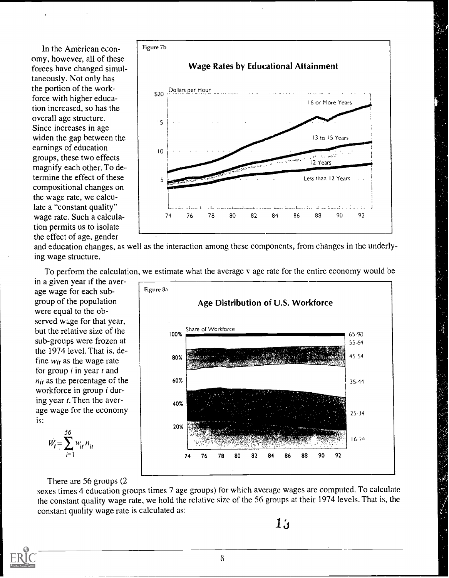In the American economy, however, all of these forces have changed simultaneously. Not only has the portion of the workforce with higher education increased, so has the overall age structure. Since increases in age widen the gap between the earnings of education groups, these two effects magnify each other. To determine the effect of these compositional changes on the wage rate, we calculate a "constant quality" wage rate. Such a calculation permits us to isolate the effect of age, gender



and education changes, as well as the interaction among these components, from changes in the underlying wage structure.

To perform the calculation, we estimate what the average v age rate for the entire economy would be

in a given year if the average wage for each subgroup of the population were equal to the observed wage for that year, but the relative size of the sub-groups were frozen at the 1974 level. That is, define  $w_{it}$  as the wage rate for group  $i$  in year  $t$  and  $n_{it}$  as the percentage of the workforce in group i during year t. Then the average wage for the economy is:

$$
W_t = \sum_{i=1}^{56} w_{it} n_{it}
$$



There are 56 groups (2

sexes times 4 education groups times 7 age groups) for which average wages are computed. To calculate the constant quality wage rate, we hold the relative size of the 56 groups at their 1974 levels. That is, the constant quality wage rate is calculated as:



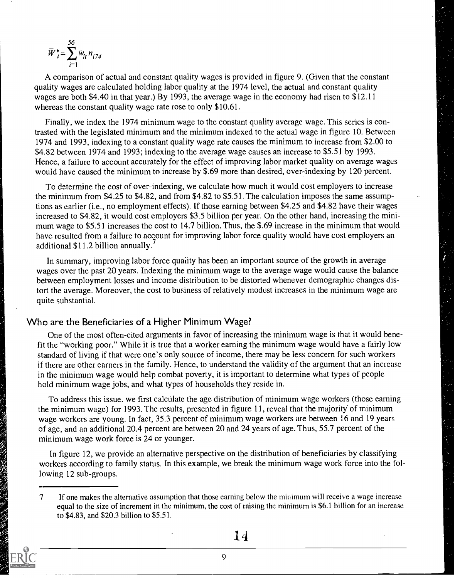$$
\overline{W}^*_{t} = \sum_{i=1}^{56} \overline{w}_{it} n_{i74}
$$

A comparison of actual and constant quality wages is provided in figure 9. (Given that the constant quality wages are calculated holding labor quality at the 1974 level, the actual and constant quality wages are both \$4.40 in that year.) By 1993, the average wage in the economy had risen to \$12.11 whereas the constant quality wage rate rose to only \$10.61.

Finally, we index the 1974 minimum wage to the constant quality average wage. This series is contrasted with the legislated minimum and the minimum indexed to the actual wage in figure 10. Between 1974 and 1993, indexing to a constant quality wage rate causes the minimum to increase from \$2.00 to \$4.82 between 1974 and 1993; indexing to the average wage causes an increase to \$5.51 by 1993. Hence, a failure to account accurately for the effect of improving labor market quality on average wages would have caused the minimum to increase by \$.69 more than desired, over-indexing by 120 percent.

To determine the cost of over-indexing, we calculate how much it would cost employers to increase the minimum from \$4.25 to \$4.82, and from \$4.82 to \$5.51. The calculation imposes the same assumptions as earlier (i.e., no employment effects). If those earning between \$4.25 and \$4.82 have their wages increased to \$4.82, it would cost employers \$3.5 billion per year. On the other hand, increasing the minimum wage to \$5.51 increases the cost to 14.7 billion. Thus, the \$.69 increase in the minimum that would have resulted from a failure to account for improving labor force quality would have cost employers an additional \$11.2 billion annually.

In summary, improving labor force quaiity has been an important source of the growth in average wages over the past 20 years. Indexing the minimum wage to the average wage would cause the balance between employment losses and income distribution to be distorted whenever demographic changes distort the average. Moreover, the cost to business of relatively modest increases in the minimum wage are quite substantial.

#### Who are the Beneficiaries of a Higher Minimum Wage?

One of the most often-cited arguments in favor of increasing the minimum wage is that it would benefit the "working poor." While it is true that a worker earning the minimum wage would have a fairly low standard of living if that were one's only source of income, there may be less concern for such workers if there are other earners in the family. Hence, to understand the validity of the argument that an increase in the minimum wage would help combat poverty, it is important to determine what types of people hold minimum wage jobs, and what types of households they reside in.

To address this issue, we first calculate the age distribution of minimum wage workers (those earning the minimum wage) for 1993. The results, presented in figure 11, reveal that the majority' of minimum wage workers are young. In fact, 35.3 percent of minimum wage workers are between 16 and 19 years of age, and an additional 20.4 percent are between 20 and 24 years of age. Thus, 55.7 percent of the minimum wage work force is 24 or younger.

In figure 12, we provide an alternative perspective on the distribution of beneficiaries by classifying workers according to family status. In this example, we break the minimum wage work force into the following 12 sub-groups.

<sup>7</sup> If one makes the alternative assumption that those earning below the minimum will receive a wage increase equal to the size of increment in the minimum, the cost of raising the minimum is \$6.1 billion for an increase to \$4.83, and \$20.3 billion to \$5.51.



 $14$ 

 $\Omega$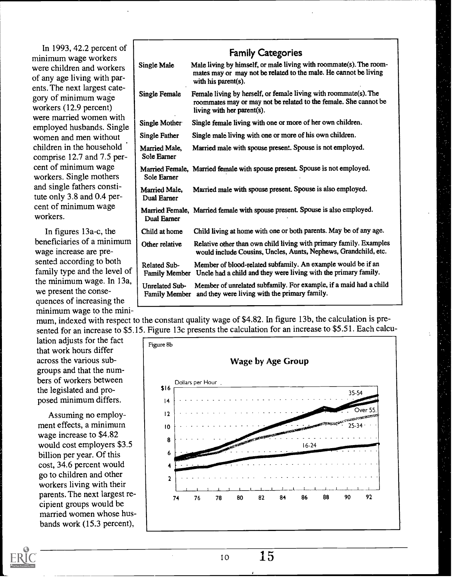In 1993, 42.2 percent of minimum wage workers were children and workers of any age living with parents. The next largest category of minimum wage workers (12.9 percent) were married women with employed husbands. Single women and men without children in the household comprise 12.7 and 7.5 percent of minimum wage workers. Single mothers and single fathers constitute only 3.8 and 0.4 percent of minimum wage workers.

In figures 13a-c, the beneficiaries of a minimum wage increase are presented according to both family type and the level of the minimum wage. In 13a, we present the consequences of increasing the minimum wage to the mini-

lation adjusts for the fact that work hours differ across the various subgroups and that the numbers of workers between<br>the legislated and pro-<br>\$16 the legislated and proposed minimum differs.

Assuming no employment effects, a minimum wage increase to \$4.82 would cost employers  $$3.5$   $8$ billion per year. Of this cost, 34.6 percent would go to children and other workers living with their parents. The next largest recipient groups would be married women whose husbands work (15.3 percent),

|                                        | <b>Family Categories</b>                                                                                                                                           |
|----------------------------------------|--------------------------------------------------------------------------------------------------------------------------------------------------------------------|
| Single Male                            | Male living by himself, or male living with roommate(s). The room-<br>mates may or may not be related to the male. He cannot be living<br>with his parent(s).      |
| <b>Single Female</b>                   | Female living by herself, or female living with roommate(s). The<br>roommates may or may not be related to the female. She cannot be<br>living with her parent(s). |
| Single Mother                          | Single female living with one or more of her own children.                                                                                                         |
| Single Father                          | Single male living with one or more of his own children.                                                                                                           |
| Married Male.<br>Sole Earner           | Married male with spouse present. Spouse is not employed.                                                                                                          |
| Sole Earner                            | Married Female, Married female with spouse present. Spouse is not employed.                                                                                        |
| Married Male,<br>Dual Earner           | Married male with spouse present. Spouse is also employed.                                                                                                         |
| Dual Earner                            | Married Female, Married female with spouse present. Spouse is also employed.                                                                                       |
| Child at home                          | Child living at home with one or both parents. May be of any age.                                                                                                  |
| Other relative                         | Relative other than own child living with primary family. Examples<br>would include Cousins, Uncles, Aunts, Nephews, Grandchild, etc.                              |
| Related Sub-<br><b>Family Member</b>   | Member of blood-related subfamily. An example would be if an<br>Uncle had a child and they were living with the primary family.                                    |
| Unrelated Sub-<br><b>Family Member</b> | Member of unrelated subfamily. For example, if a maid had a child<br>and they were living with the primary family.                                                 |
|                                        |                                                                                                                                                                    |

mum, indexed with respect to the constant quality wage of \$4.82. In figure 13b, the calculation is presented for an increase to \$5.15. Figure 13c presents the calculation for an increase to \$5.51. Each calcu-

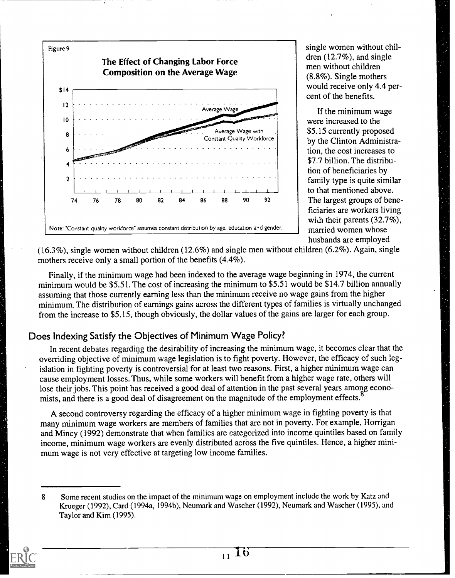

single women without children (12.7%), and single men without children (8.8%). Single mothers would receive only 4.4 percent of the benefits.

If the minimum wage were increased to the \$5.15 currently proposed by the Clinton Administration, the cost increases to \$7.7 billion. The distribution of beneficiaries by family type is quite similar to that mentioned above. The largest groups of beneficiaries are workers living with their parents (32.7%), married women whose husbands are employed

(16.3%), single women without children (12.6%) and single men without children (6.2%). Again, single mothers receive only a small portion of the benefits (4.4%).

Finally, if the minimum wage had been indexed to the average wage beginning in 1974, the current minimum would be \$5.51. The cost of increasing the minimum to \$5.51 would be \$14.7 billion annually assuming that those currently earning less than the minimum receive no wage gains from the higher minimum. The distribution of earnings gains across the different types of families is virtually unchanged from the increase to \$5.15, though obviously, the dollar values of the gains are larger for each group.

#### Does Indexing Satisfy the Objectives of Minimum Wage Policy?

In recent debates regarding the desirability of increasing the minimum wage, it becomes clear that the overriding objective of minimum wage legislation is to fight poverty. However, the efficacy of such legislation in fighting poverty is controversial for at least two reasons. First, a higher minimum wage can cause employment losses. Thus, while some workers will benefit from a higher wage rate, others will lose their jobs. This point has received a good deal of attention in the past several years among economists, and there is a good deal of disagreement on the magnitude of the employment effects.<sup>8</sup>

A second controversy regarding the efficacy of a higher minimum wage in fighting poverty is that many minimum wage workers are members of families that are not in poverty. For example, Horrigan and Mincy (1992) demonstrate that when families are categorized into income quintiles based on family income, minimum wage workers are evenly distributed across the five quintiles. Hence, a higher minimum wage is not very effective at targeting low income families.

<sup>8</sup> Some recent studies on the impact of the minimum wage on employment include the work by Katz and Krueger (1992), Card (1994a, 1994b), Neumark and Wascher (1992), Neumark and Wascher (1995), and Taylor and Kim (1995).

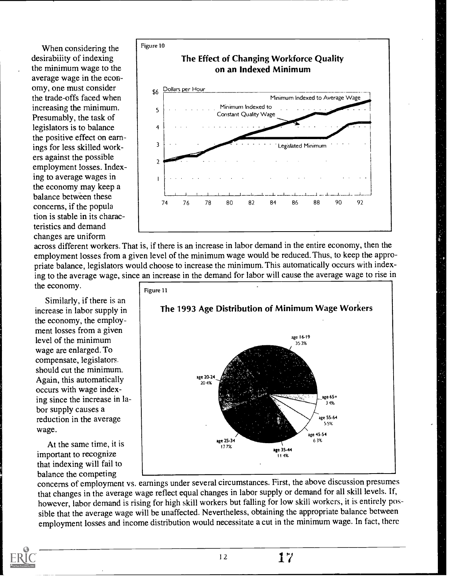When considering the desirabiiity of indexing the minimum wage to the average wage in the economy, one must consider the trade-offs faced when increasing the minimum. Presumably, the task of legislators is to balance the positive effect on earnings for less skilled workers against the possible employment losses. Indexing to average wages in the economy may keep a balance between these concerns, if the popula tion is stable in its characteristics and demand changes are uniform



across different workers. That is, if there is an increase in labor demand in the entire economy, then the employment losses from a given level of the minimum wage would be reduced. Thus, to keep the appropriate balance, legislators would choose to increase the minimum. This automatically occurs with indexing to the average wage, since an increase in the demand for labor will cause the average wage to rise in

the economy.

Similarly, if there is an increase in labor supply in the economy, the employment losses from a given level of the minimum wage are enlarged. To compensate, legislators. should cut the minimum. Again, this automatically occurs with wage indexing since the increase in labor supply causes a reduction in the average wage.

At the same time, it is important to recognize that indexing will fail to balance the competing



concerns of employment vs. earnings under several circumstances. First, the above discussion presumes that changes in the average wage reflect equal changes in labor supply or demand for all skill levels. If, however, labor demand is rising for high skill workers but falling for low skill workers, it is entirely possible that the average wage will be unaffected. Nevertheless, obtaining the appropriate balance between employment losses and income distribution would necessitate a cut in the minimum wage. In fact, there



 $12 \t 17$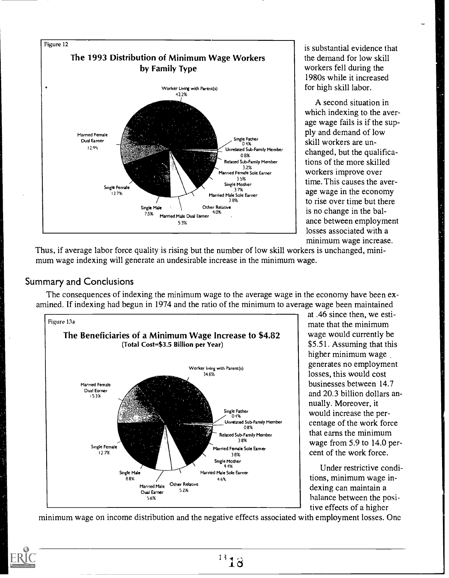

is substantial evidence that the demand for low skill workers fell during the 1980s while it increased for high skill labor.

A second situation in which indexing to the average wage fails is if the supply and demand of low  $\frac{U_{\text{rod}}}{V_{\text{max}}}$  Member changed, but the qualifica-Related Sub-Family Member  $\parallel$  tions of the more skilled  $\begin{array}{c|c}\n\text{MSE} & \text{MSE} \\
\text{MSE} & \text{MSE} \\
\text{MSE} & \text{MSE} \\
\text{MSE} & \text{MSE} \\
\text{MSE} & \text{MSE} \\
\text{MSE} & \text{MSE} \\
\text{MSE} & \text{MSE} \\
\text{MSE} & \text{MSE} \\
\text{MSE} & \text{MSE} \\
\text{MSE} & \text{MSE} \\
\text{MSE} & \text{MSE} \\
\text{MSE} & \text{MSE} \\
\text{MSE} & \text{MSE} \\
\text{MSE} & \text{MSE} \\
\text{MSE} & \text{MSE} \\$  $\frac{35\%}{35\%}$  time. This causes the aver-<br> $\frac{35\%}{3\%}$ losses associated with a minimum wage increase.

Thus, if average labor force quality is rising but the number of low skill workers is unchanged, minimum wage indexing will generate an undesirable increase in the minimum wage.

#### Summary and Conclusions

The consequences of indexing the minimum wage to the average wage in the economy have been examined. If indexing had begun in 1974 and the ratio of the minimum to average wage been maintained



at .46 since then, we estimate that the minimum wage would currently be \$5.51. Assuming that this higher minimum wage generates no employment losses, this would cost businesses between 14.7 and 20.3 billion dollars annually. Moreover, it would increase the percentage of the work force that earns the minimum wage from 5.9 to 14.0 percent of the work force.

Under restrictive conditions, minimum wage indexing can maintain a balance between the positive effects of a higher

minimum wage on income distribution and the negative effects associated with employment losses. One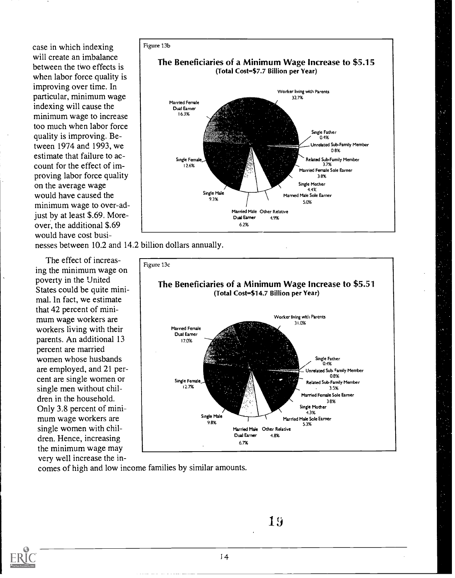case in which indexing will create an imbalance between the two effects is when labor force quality is improving over time. In particular, minimum wage indexing will cause the minimum wage to increase too much when labor force quality is improving. Between 1974 and 1993, we estimate that failure to account for the effect of improving labor force quality on the average wage would have caused the minimum wage to over-adjust by at least \$.69. Moreover, the additional \$.69 would have cost busi-

nesses between 10.2 and 14.2 billion dollars annually.

The effect of increasing the minimum wage on poverty in the United States could be quite minimal. In fact, we estimate that 42 percent of minimum wage workers are workers living with their parents. An additional 13 percent are married women whose husbands are employed, and 21 percent are single women or single men without children in the household. Only 3.8 percent of minimum wage workers are single women with children. Hence, increasing the minimum wage may very well increase the in-



Figure 13c The Beneficiaries of a Minimum Wage Increase to \$5.51 (Total Cost=\$14.7 Billion per Year) Marned Female Dual Earner 17.0% Single Female 12.7% Worker living with Parents 31 0% Single Male 9.8% Married Male Other Relative Dual Earner 6.7% Single Father<br>Q 4% Unrelated Sub Family Member 0.8% Related Sub-Family Member 3.5% Married Female Sole Earner 3 8% Single Mother 4.3% Marrled Male Sole Earner 5.3% 4.8%

comes of high and low income families by similar amounts.

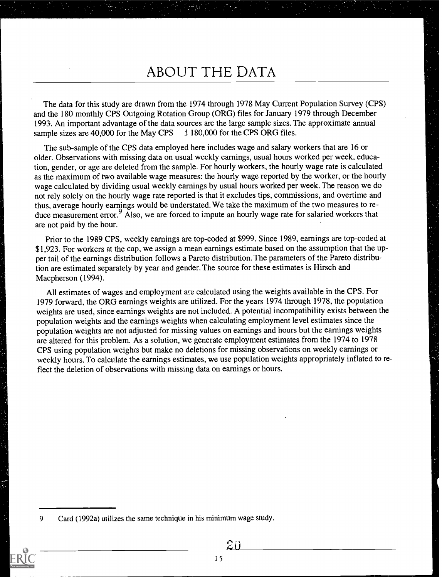# ABOUT THE DATA

The data for this study are drawn from the 1974 through 1978 May Current Population Survey (CPS) and the 180 monthly CPS Outgoing Rotation Group (ORG) files for January 1979 through December 1993. An important advantage of the data sources are the large sample sizes. The approximate annual sample sizes are  $40,000$  for the May CPS  $\quad$  1 180,000 for the CPS ORG files. sample sizes are  $40,000$  for the May CPS

The sub-sample of the CPS data employed here includes wage and salary workers that are 16 or older. Observations with missing data on usual weekly earnings, usual hours worked per week, education, gender, or age are deleted from the sample. For hourly workers, the hourly wage rate is calculated as the maximum of two available wage measures: the hourly wage reported by the worker, or the hourly wage calculated by dividing usual weekly earnings by usual hours worked per week. The reason we do not rely solely on the hourly wage rate reported is that it excludes tips, commissions, and overtime and thus, average hourly earnings would be understated. We take the maximum of the two measures to reduce measurement error.<sup>9</sup> Also, we are forced to impute an hourly wage rate for salaried workers that are not paid by the hour.

Prior to the 1989 CPS, weekly earnings are top-coded at \$999. Since 1989, earnings are top-coded at \$1,923. For workers at the cap, we assign a mean earnings estimate based on the assumption that the upper tail of the earnings distribution follows a Pareto distribution. The parameters of the Pareto distribution are estimated separately by year and gender. The source for these estimates is Hirsch and Macpherson (1994).

All estimates of wages and employment are calculated using the weights available in the CPS. For 1979 forward, the ORG earnings weights are utilized. For the years 1974 through 1978, the population weights are used, since earnings weights are not included. A potential incompatibility exists between the population weights and the earnings weights when calculating employment level estimates since the population weights are not adjusted for missing values on earnings and hours but the earnings weights are altered for this problem. As a solution, we generate employment estimates from the 1974 to 1978 CPS using population weights but make no deletions for missing observations on weekly earnings or weekly hours. To calculate the earnings estimates, we use population weights appropriately inflated to reflect the deletion of observations with missing data on earnings or hours.

Card (1992a) utilizes the same technique in his minimum wage study.

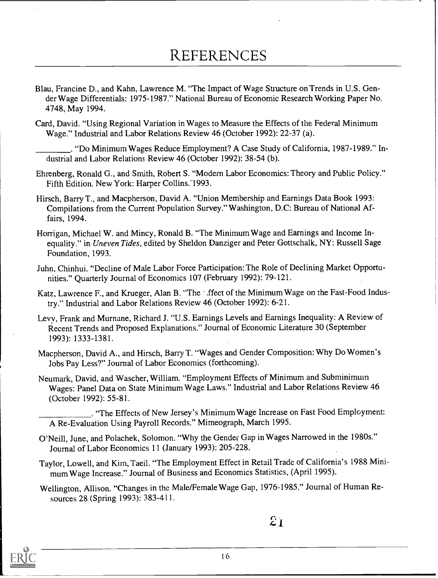# REFERENCES

- Blau, Francine D., and Kahn, Lawrence M. "The Impact of Wage Structure on Trends in U.S. Gender Wage Differentials: 1975-1987." National Bureau of Economic Research Working Paper No. 4748, May 1994.
- Card, David. "Using Regional Variation in Wages to Measure the Effects of the Federal Minimum Wage." Industrial and Labor Relations Review 46 (October 1992): 22-37 (a).

. "Do Minimum Wages Reduce Employment? A Case Study of California, 1987-1989." Industrial and Labor Relations Review 46 (October 1992): 38-54 (b).

- Ehrenberg, Ronald G., and Smith, Robert S. "Modern Labor Economics: Theory and Public Policy." Fifth Edition. New York: Harper Collins."1993.
- Hirsch, Barry T., and Macpherson, David A. "Union Membership and Earnings Data Book 1993: Compilations from the Current Population Survey." Washington, D.C: Bureau of National Affairs, 1994.
- Horrigan, Michael W. and Mincy, Ronald B. "The Minimum Wage and Earnings and Income Inequality." in Uneven Tides, edited by Sheldon Danziger and Peter Gottschalk, NY: Russell Sage Foundation, 1993.
- Juhn, Chinhui. "Decline of Male Labor Force Participation: The Role of Declining Market Opportunities." Quarterly Journal of Economics 107 (February 1992): 79-121.
- Katz, Lawrence F., and Krueger, Alan B. "The ffect of the Minimum Wage on the Fast-Food Industry." Industrial and Labor Relations Review 46 (October 1992): 6-21.
- Levy, Frank and Murnane, Richard J. "U.S. Earnings Levels and Earnings Inequality: A Review of Recent Trends and Proposed Explanations." Journal of Economic Literature 30 (September 1993): 1333-1381.
- Macpherson, David A., and Hirsch, Barry T. "Wages and Gender Composition: Why Do Women's Jobs Pay Less?" Journal of Labor Economics (forthcoming).
- Neumark, David, and Wascher, William. "Employment Effects of Minimum and Subminimum Wages: Panel Data on State Minimum Wage Laws." Industrial and Labor Relations Review 46 (October 1992): 55-81.

. "The Effects of New Jersey's Minimum Wage Increase on Fast Food Employment: A Re-Evaluaiion Using Payroll Records." Mimeograph, March 1995.

- O'Neill, June, and Polachek, Solomon. "Why the Gender Gap in Wages Narrowed in the 1980s." Journal of Labor Economics II (January 1993): 205-228.
- Taylor, Lowell, and Kim, Taeil. "The Employment Effect in Retail Trade of California's 1988 Minimum Wage Increase." Journal of Business and Economics Statistics, (April 1995).
- Wellington, Allison. "Changes in the Male/Female Wage Gap, 1976-1985." Journal of Human Resources 28 (Spring 1993): 383-411.

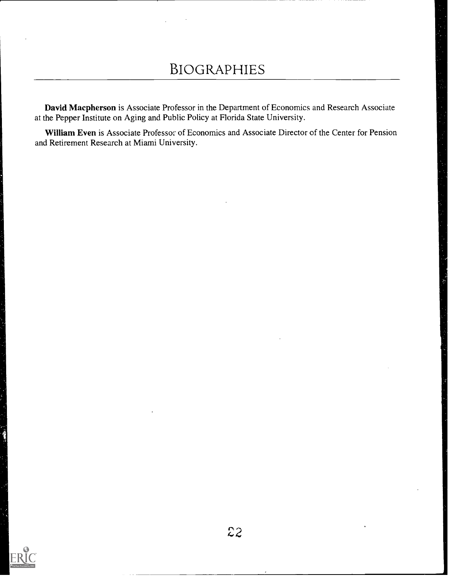## BIOGRAPHIES

David Macpherson is Associate Professor in the Department of Economics and Research Associate at the Pepper Institute on Aging and Public Policy at Florida State University.

William Even is Associate Professor of Economics and Associate Director of the Center for Pension and Retirement Research at Miami University.

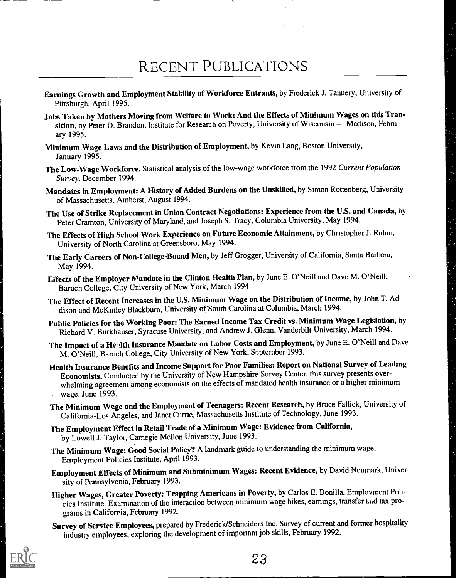# RECENT PUBLICATIONS

- Earnings Growth and Employment Stability of Workforce Entrants, by Frederick J. Tannery, University of Pittsburgh, April 1995.
- Jobs Taken by Mothers Moving from Welfare to Work: And the Effects of Minimum Wages on this Transition, by Peter D. Brandon, Institute for Research on Poverty, University of Wisconsin — Madison, February 1995.
- Minimum Wage Laws and the Distribution of Employment, by Kevin Lang, Boston University, January 1995.
- The Low-Wage Workforce. Statistical analysis of the low-wage workforce from the 1992 Current Population Survey. December 1994.
- Mandates in Employment: A History of Added Burdens on the Unskilled, by Simon Rottenberg, University of Massachusetts, Amherst, August 1994.
- The Use of Strike Replacement in Union Contract Negotiations: Experience from the U.S. and Canada, by Peter Cramton, University of Maryland, and Joseph S. Tracy, Columbia University, May 1994.
- The Effects of High School Work Experience on Future Economic Attainment, by Christopher J. Ruhm, University of North Carolina at Greensboro, May 1994.
- The Early Careers of Non-College-Bound Men, by Jeff Grogger, University of California, Santa Barbara, May 1994.
- Effects of the Employer Mandate in the Clinton Health Plan, by June E. O'Neill and Dave M. O'Neill, Baruch College, City University of New York, March 1994.
- The Effect of Recent Increases in the U.S. Minimum Wage on the Distribution of Income, by John T. Addison and McKinley Blackburn, University of 'South Carolina at Columbia, March 1994.
- Public Policies for the Working Poor: The Earned Income Tax Credit vs. Minimum Wage Legislation, by Richard V. Burkhauser, Syracuse University, and Andrew J. Glenn, Vanderbilt University, March 1994.
- The Impact of a Health Insurance Mandate on Labor Costs and Employment, by June E. O'Neill and Dave M. O'Neill, Baruch College, City University of New York, September 1993.
- Health Insurance Benefits and Income Support for Poor Families: Report on National Survey of Leading Economists. Conducted by the University of New Hampshire Survey Center, this survey presents overwhelming agreement among economists on the effects of mandated health insurance or a higher minimum . wage. June 1993.
- The Minimum Wage and the Employment of Teenagers: Recent Research, by Bruce Fallick, University of California-Los Angeles, and Janet Currie, Massachusetts Institute of Technology, June 1993.
- The Employment Effect in Retail Trade of a Minimum Wage: Evidence from California, by Lowell J. Taylor, Carnegie Mellon University, June 1993.
- The Minimum Wage: Good Social Policy? A landmark guide to understanding the minimum wage, Employment Policies Institute, April 1993.
- Employment Effects of Minimum and Subminimum Wages: Recent Evidence, by David Neumark, University of Pennsylvania, February 1993.
- Higher Wages, Greater Poverty: Trapping Americans in Poverty, by Carlos E. Bonilla, Employment Policies Institute. Examination of the interaction between minimum wage hikes, earnings, transfer and tax programs in California, February 1992.
- Survey of Service Employees, prepared by Frederick/Schneiders Inc. Survey of current and former hospitality industry employees, exploring the development of important job skills, February 1992.